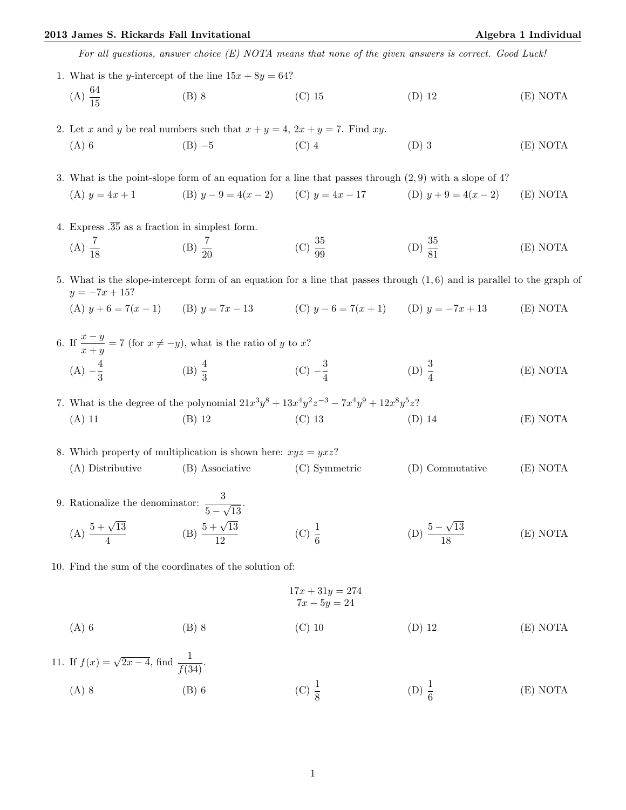## 2013 James S. Rickards Fall Invitational Algebra 1 Individual

For all questions, answer choice (E) NOTA means that none of the given answers is correct. Good Luck!

1. What is the y-intercept of the line  $15x + 8y = 64$ ?  $(A) \frac{64}{15}$ (B) 8 (C) 15 (D) 12 (E) NOTA

2. Let x and y be real numbers such that  $x + y = 4$ ,  $2x + y = 7$ . Find xy. (A) 6 (B) −5 (C) 4 (D) 3 (E) NOTA

3. What is the point-slope form of an equation for a line that passes through (2, 9) with a slope of 4? (A)  $y = 4x + 1$  (B)  $y - 9 = 4(x - 2)$  (C)  $y = 4x - 17$  (D)  $y + 9 = 4(x - 2)$  (E) NOTA

- 4. Express  $.\overline{35}$  as a fraction in simplest form.
	- $(A) \frac{7}{18}$ (B)  $\frac{7}{20}$ (C)  $\frac{35}{99}$  $(D) \frac{35}{81}$ (E) NOTA

5. What is the slope-intercept form of an equation for a line that passes through (1, 6) and is parallel to the graph of  $y = -7x + 15?$ 

(A)  $y + 6 = 7(x - 1)$  (B)  $y = 7x - 13$  (C)  $y - 6 = 7(x + 1)$  (D)  $y = -7x + 13$  (E) NOTA

6. If  $\frac{x-y}{x+y} = 7$  (for  $x \neq -y$ ), what is the ratio of y to x?  $(A) - \frac{4}{3}$  $\frac{4}{3}$  (B)  $\frac{4}{3}$  (C)  $-\frac{3}{4}$ 4 (D)  $\frac{3}{4}$ (E) NOTA

7. What is the degree of the polynomial  $21x^3y^8 + 13x^4y^2z^{-3} - 7x^4y^9 + 12x^8y^5z$ ? (A) 11 (B) 12 (C) 13 (D) 14 (E) NOTA

8. Which property of multiplication is shown here:  $xyz = yxz$ ? (A) Distributive (B) Associative (C) Symmetric (D) Commutative (E) NOTA

- 9. Rationalize the denominator:  $\frac{3}{5-\gamma}$ √  $\overline{13}$ . (A)  $\frac{5+\sqrt{13}}{4}$ 4 (B)  $\frac{5 + \sqrt{13}}{19}$ 12 (C)  $\frac{1}{6}$  $(D) \frac{5-}{2}$ √ 13 18 (E) NOTA
- 10. Find the sum of the coordinates of the solution of:

 $17x + 31y = 274$  $7x - 5y = 24$ 

- (A) 6 (B) 8 (C) 10 (D) 12 (E) NOTA
- 11. If  $f(x) = \sqrt{2x 4}$ , find  $\frac{1}{f(34)}$ . (A) 8 (B) 6 (C)  $\frac{1}{8}$ (D)  $\frac{1}{6}$ (E) NOTA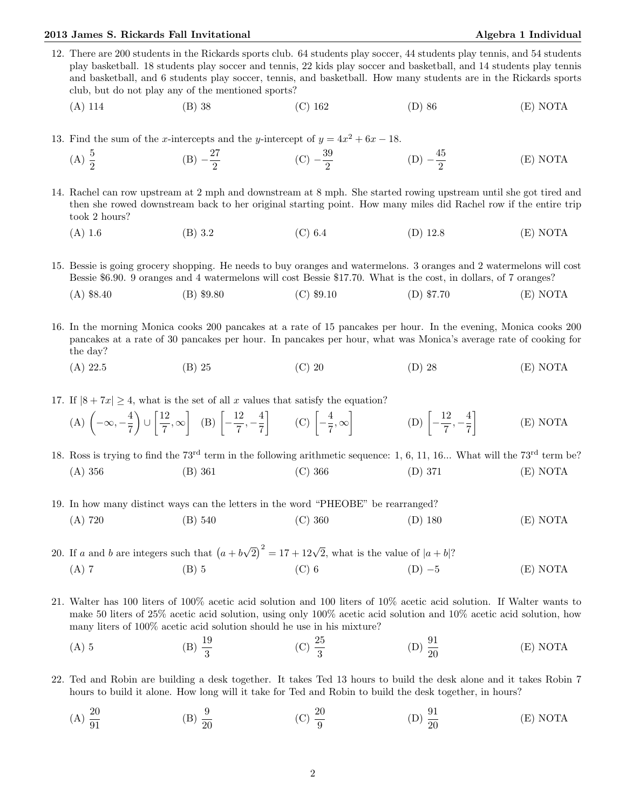## 2013 James S. Rickards Fall Invitational Algebra 1 Individual Algebra 1 Individual

- 12. There are 200 students in the Rickards sports club. 64 students play soccer, 44 students play tennis, and 54 students play basketball. 18 students play soccer and tennis, 22 kids play soccer and basketball, and 14 students play tennis and basketball, and 6 students play soccer, tennis, and basketball. How many students are in the Rickards sports club, but do not play any of the mentioned sports?
	- (A) 114 (B) 38 (C) 162 (D) 86 (E) NOTA
- 13. Find the sum of the x-intercepts and the y-intercept of  $y = 4x^2 + 6x 18$ .
	- (A)  $\frac{5}{2}$  $(B) -\frac{27}{8}$  $\frac{27}{2}$  (C)  $-\frac{39}{2}$  $rac{39}{2}$  (D)  $-\frac{45}{2}$ 2 (E) NOTA
- 14. Rachel can row upstream at 2 mph and downstream at 8 mph. She started rowing upstream until she got tired and then she rowed downstream back to her original starting point. How many miles did Rachel row if the entire trip took 2 hours?
	- (A) 1.6 (B) 3.2 (C) 6.4 (D) 12.8 (E) NOTA

15. Bessie is going grocery shopping. He needs to buy oranges and watermelons. 3 oranges and 2 watermelons will cost Bessie \$6.90. 9 oranges and 4 watermelons will cost Bessie \$17.70. What is the cost, in dollars, of 7 oranges?

- (A) \$8.40 (B) \$9.80 (C) \$9.10 (D) \$7.70 (E) NOTA
- 16. In the morning Monica cooks 200 pancakes at a rate of 15 pancakes per hour. In the evening, Monica cooks 200 pancakes at a rate of 30 pancakes per hour. In pancakes per hour, what was Monica's average rate of cooking for the day?
	- (A) 22.5 (B) 25 (C) 20 (D) 28 (E) NOTA

17. If  $|8 + 7x| > 4$ , what is the set of all x values that satisfy the equation?

 $(A)$   $\left(-\infty, -\frac{4}{5}\right)$ 7  $\bigcup$  ∪ $\left[\frac{12}{7}\right]$  $\left[\frac{12}{7}, \infty\right]$  (B)  $\left[-\frac{12}{7}\right]$  $\frac{12}{7}, -\frac{4}{7}$ 7  $\begin{bmatrix} \cdot & \cdot & \cdot \\ \cdot & \cdot & \cdot \\ \cdot & \cdot & \cdot \end{bmatrix}$  $\left[\frac{4}{7},\infty\right]$  $(D)$   $\left[-\frac{12}{7}\right]$  $\frac{12}{7}, -\frac{4}{7}$ 7 1 (E) NOTA

18. Ross is trying to find the  $73^{rd}$  term in the following arithmetic sequence: 1, 6, 11, 16... What will the  $73^{rd}$  term be? (A) 356 (B) 361 (C) 366 (D) 371 (E) NOTA

- 19. In how many distinct ways can the letters in the word "PHEOBE" be rearranged? (A) 720 (B) 540 (C) 360 (D) 180 (E) NOTA
- 20. If a and b are integers such that  $(a + b)$ √  $\sqrt{2}$ )<sup>2</sup> = 17 + 12 $\sqrt{2}$ , what is the value of  $|a + b|$ ? (A) 7 (B) 5 (C) 6 (D) −5 (E) NOTA
- 21. Walter has 100 liters of 100% acetic acid solution and 100 liters of 10% acetic acid solution. If Walter wants to make 50 liters of 25% acetic acid solution, using only 100% acetic acid solution and 10% acetic acid solution, how many liters of 100% acetic acid solution should he use in his mixture?
	- (A) 5 (B)  $\frac{19}{3}$ (C)  $\frac{25}{3}$ (D)  $\frac{91}{20}$ (E) NOTA
- 22. Ted and Robin are building a desk together. It takes Ted 13 hours to build the desk alone and it takes Robin 7 hours to build it alone. How long will it take for Ted and Robin to build the desk together, in hours?
	- $(A) \frac{20}{91}$ (B)  $\frac{9}{20}$ (C)  $\frac{20}{9}$ (D)  $\frac{91}{20}$ (E) NOTA